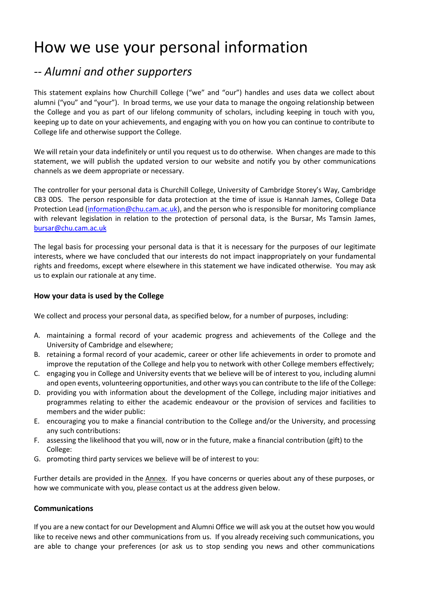# How we use your personal information

## *-- Alumni and other supporters*

This statement explains how Churchill College ("we" and "our") handles and uses data we collect about alumni ("you" and "your"). In broad terms, we use your data to manage the ongoing relationship between the College and you as part of our lifelong community of scholars, including keeping in touch with you, keeping up to date on your achievements, and engaging with you on how you can continue to contribute to College life and otherwise support the College.

We will retain your data indefinitely or until you request us to do otherwise. When changes are made to this statement, we will publish the updated version to our website and notify you by other communications channels as we deem appropriate or necessary.

The controller for your personal data is Churchill College, University of Cambridge Storey's Way, Cambridge CB3 0DS. The person responsible for data protection at the time of issue is Hannah James, College Data Protection Lead (*information@chu.cam.ac.uk*), and the person who is responsible for monitoring compliance with relevant legislation in relation to the protection of personal data, is the Bursar, Ms Tamsin James, [bursar@chu.cam.ac.uk](mailto:bursar@chu.cam.ac.uk)

The legal basis for processing your personal data is that it is necessary for the purposes of our legitimate interests, where we have concluded that our interests do not impact inappropriately on your fundamental rights and freedoms, except where elsewhere in this statement we have indicated otherwise. You may ask us to explain our rationale at any time.

### **How your data is used by the College**

We collect and process your personal data, as specified below, for a number of purposes, including:

- A. maintaining a formal record of your academic progress and achievements of the College and the University of Cambridge and elsewhere;
- B. retaining a formal record of your academic, career or other life achievements in order to promote and improve the reputation of the College and help you to network with other College members effectively;
- C. engaging you in College and University events that we believe will be of interest to you, including alumni and open events, volunteering opportunities, and other ways you can contribute to the life of the College:
- D. providing you with information about the development of the College, including major initiatives and programmes relating to either the academic endeavour or the provision of services and facilities to members and the wider public:
- E. encouraging you to make a financial contribution to the College and/or the University, and processing any such contributions:
- F. assessing the likelihood that you will, now or in the future, make a financial contribution (gift) to the College:
- G. promoting third party services we believe will be of interest to you:

Further details are provided in the Annex. If you have concerns or queries about any of these purposes, or how we communicate with you, please contact us at the address given below.

#### **Communications**

If you are a new contact for our Development and Alumni Office we will ask you at the outset how you would like to receive news and other communications from us. If you already receiving such communications, you are able to change your preferences (or ask us to stop sending you news and other communications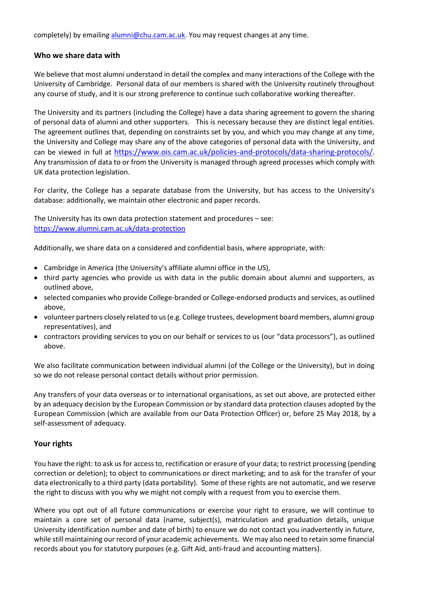completely) by emailing [alumni@chu.cam.ac.uk.](mailto:alumni@chu.cam.ac.uk) You may request changes at any time.

#### **Who we share data with**

We believe that most alumni understand in detail the complex and many interactions of the College with the University of Cambridge. Personal data of our members is shared with the University routinely throughout any course of study, and it is our strong preference to continue such collaborative working thereafter.

The University and its partners (including the College) have a data sharing agreement to govern the sharing of personal data of alumni and other supporters. This is necessary because they are distinct legal entities. The agreement outlines that, depending on constraints set by you, and which you may change at any time, the University and College may share any of the above categories of personal data with the University, and can be viewed in full at <https://www.ois.cam.ac.uk/policies-and-protocols/data-sharing-protocols/>. Any transmission of data to or from the University is managed through agreed processes which comply with UK data protection legislation.

For clarity, the College has a separate database from the University, but has access to the University's database: additionally, we maintain other electronic and paper records.

The University has its own data protection statement and procedures – see: <https://www.alumni.cam.ac.uk/data-protection>

Additionally, we share data on a considered and confidential basis, where appropriate, with:

- Cambridge in America (the University's affiliate alumni office in the US),
- third party agencies who provide us with data in the public domain about alumni and supporters, as outlined above,
- selected companies who provide College-branded or College-endorsed products and services, as outlined above,
- volunteer partners closely related to us (e.g. College trustees, development board members, alumni group representatives), and
- contractors providing services to you on our behalf or services to us (our "data processors"), as outlined above.

We also facilitate communication between individual alumni (of the College or the University), but in doing so we do not release personal contact details without prior permission.

Any transfers of your data overseas or to international organisations, as set out above, are protected either by an adequacy decision by the European Commission or by standard data protection clauses adopted by the European Commission (which are available from our Data Protection Officer) or, before 25 May 2018, by a self-assessment of adequacy.

#### **Your rights**

You have the right: to ask us for access to, rectification or erasure of your data; to restrict processing (pending correction or deletion); to object to communications or direct marketing; and to ask for the transfer of your data electronically to a third party (data portability). Some of these rights are not automatic, and we reserve the right to discuss with you why we might not comply with a request from you to exercise them.

Where you opt out of all future communications or exercise your right to erasure, we will continue to maintain a core set of personal data (name, subject(s), matriculation and graduation details, unique University identification number and date of birth) to ensure we do not contact you inadvertently in future, while still maintaining our record of your academic achievements. We may also need to retain some financial records about you for statutory purposes (e.g. Gift Aid, anti-fraud and accounting matters).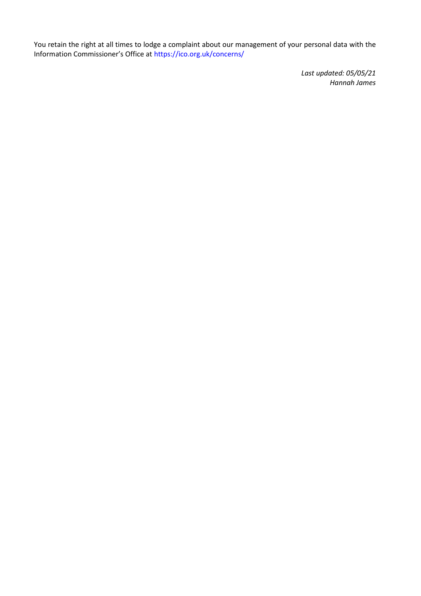You retain the right at all times to lodge a complaint about our management of your personal data with the Information Commissioner's Office at https://ico.org.uk/concerns/

> *Last updated: 05/05/21 Hannah James*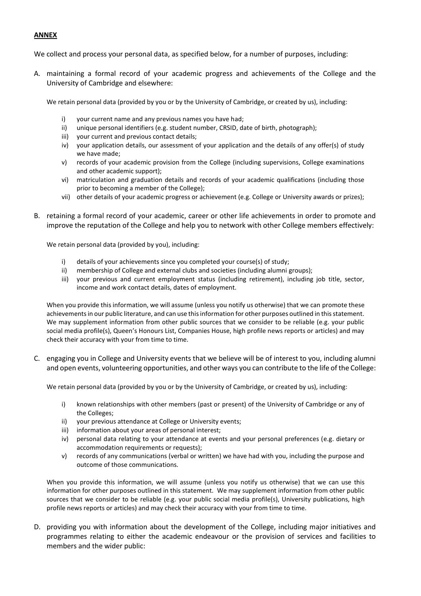#### **ANNEX**

We collect and process your personal data, as specified below, for a number of purposes, including:

A. maintaining a formal record of your academic progress and achievements of the College and the University of Cambridge and elsewhere:

We retain personal data (provided by you or by the University of Cambridge, or created by us), including:

- i) your current name and any previous names you have had;
- ii) unique personal identifiers (e.g. student number, CRSID, date of birth, photograph);
- iii) your current and previous contact details;
- iv) your application details, our assessment of your application and the details of any offer(s) of study we have made;
- v) records of your academic provision from the College (including supervisions, College examinations and other academic support);
- vi) matriculation and graduation details and records of your academic qualifications (including those prior to becoming a member of the College);
- vii) other details of your academic progress or achievement (e.g. College or University awards or prizes);
- B. retaining a formal record of your academic, career or other life achievements in order to promote and improve the reputation of the College and help you to network with other College members effectively:

We retain personal data (provided by you), including:

- i) details of your achievements since you completed your course(s) of study;
- ii) membership of College and external clubs and societies (including alumni groups);
- iii) your previous and current employment status (including retirement), including job title, sector, income and work contact details, dates of employment.

When you provide this information, we will assume (unless you notify us otherwise) that we can promote these achievements in our public literature, and can use this information for other purposes outlined in this statement. We may supplement information from other public sources that we consider to be reliable (e.g. your public social media profile(s), Queen's Honours List, Companies House, high profile news reports or articles) and may check their accuracy with your from time to time.

C. engaging you in College and University events that we believe will be of interest to you, including alumni and open events, volunteering opportunities, and other ways you can contribute to the life of the College:

We retain personal data (provided by you or by the University of Cambridge, or created by us), including:

- i) known relationships with other members (past or present) of the University of Cambridge or any of the Colleges;
- ii) your previous attendance at College or University events;
- iii) information about your areas of personal interest;
- iv) personal data relating to your attendance at events and your personal preferences (e.g. dietary or accommodation requirements or requests);
- v) records of any communications (verbal or written) we have had with you, including the purpose and outcome of those communications.

When you provide this information, we will assume (unless you notify us otherwise) that we can use this information for other purposes outlined in this statement. We may supplement information from other public sources that we consider to be reliable (e.g. your public social media profile(s), University publications, high profile news reports or articles) and may check their accuracy with your from time to time.

D. providing you with information about the development of the College, including major initiatives and programmes relating to either the academic endeavour or the provision of services and facilities to members and the wider public: